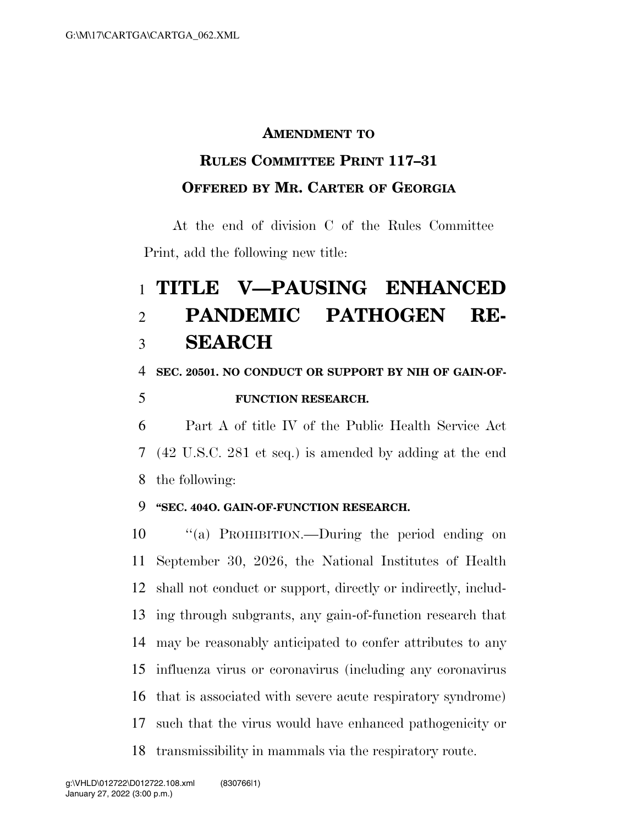#### **AMENDMENT TO**

## **RULES COMMITTEE PRINT 117–31 OFFERED BY MR. CARTER OF GEORGIA**

At the end of division C of the Rules Committee Print, add the following new title:

# **TITLE V—PAUSING ENHANCED PANDEMIC PATHOGEN RE-SEARCH**

#### **SEC. 20501. NO CONDUCT OR SUPPORT BY NIH OF GAIN-OF-**

### **FUNCTION RESEARCH.**

 Part A of title IV of the Public Health Service Act (42 U.S.C. 281 et seq.) is amended by adding at the end the following:

#### **''SEC. 404O. GAIN-OF-FUNCTION RESEARCH.**

 ''(a) PROHIBITION.—During the period ending on September 30, 2026, the National Institutes of Health shall not conduct or support, directly or indirectly, includ- ing through subgrants, any gain-of-function research that may be reasonably anticipated to confer attributes to any influenza virus or coronavirus (including any coronavirus that is associated with severe acute respiratory syndrome) such that the virus would have enhanced pathogenicity or transmissibility in mammals via the respiratory route.